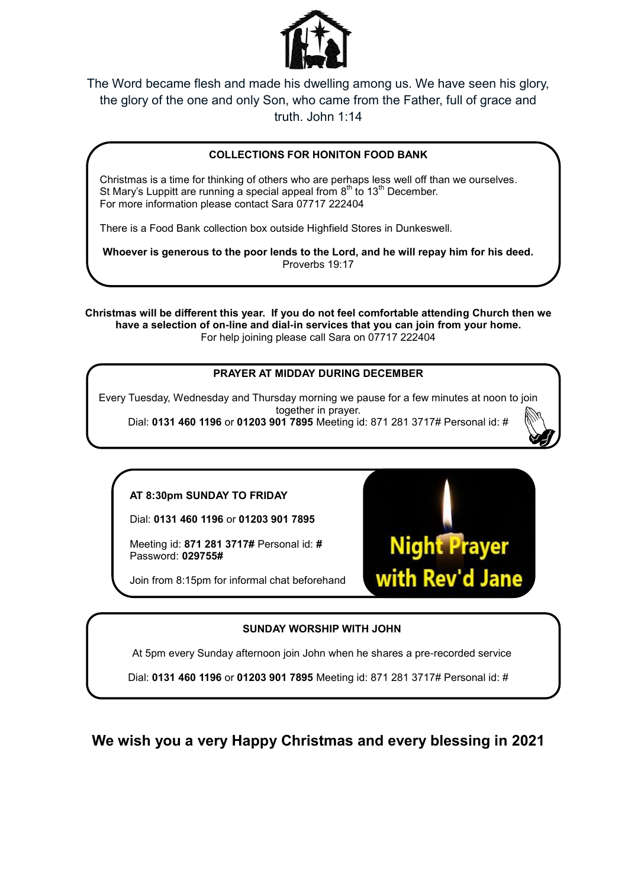

The Word became flesh and made his dwelling among us. We have seen his glory, the glory of the one and only Son, who came from the Father, full of grace and truth. John 1:14

## **COLLECTIONS FOR HONITON FOOD BANK**

Christmas is a time for thinking of others who are perhaps less well off than we ourselves. St Mary's Luppitt are running a special appeal from  $8^{\text{th}}$  to 13<sup>th</sup> December. For more information please contact Sara 07717 222404

There is a Food Bank collection box outside Highfield Stores in Dunkeswell.

**Whoever is generous to the poor lends to the Lord, and he will repay him for his deed.**  Proverbs 19:17

**Christmas will be different this year. If you do not feel comfortable attending Church then we have a selection of on-line and dial-in services that you can join from your home.**  For help joining please call Sara on 07717 222404

## **PRAYER AT MIDDAY DURING DECEMBER**

Every Tuesday, Wednesday and Thursday morning we pause for a few minutes at noon to join together in prayer. Dial: **0131 460 1196** or **01203 901 7895** Meeting id: 871 281 3717# Personal id: #

## **AT 8:30pm SUNDAY TO FRIDAY**

Dial: **0131 460 1196** or **01203 901 7895**

Meeting id: **871 281 3717#** Personal id: **#** Password: **029755#**

Join from 8:15pm for informal chat beforehand

**SUNDAY WORSHIP WITH JOHN**

At 5pm every Sunday afternoon join John when he shares a pre-recorded service

Dial: **0131 460 1196** or **01203 901 7895** Meeting id: 871 281 3717# Personal id: #

**We wish you a very Happy Christmas and every blessing in 2021**